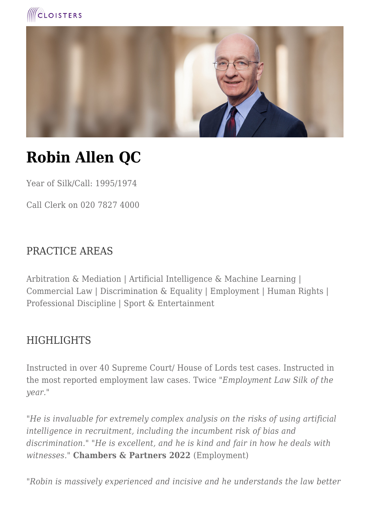



# **Robin Allen QC**

Year of Silk/Call: 1995/1974

Call Clerk on 020 7827 4000

# PRACTICE AREAS

Arbitration & Mediation | Artificial Intelligence & Machine Learning | Commercial Law | Discrimination & Equality | Employment | Human Rights | Professional Discipline | Sport & Entertainment

# **HIGHLIGHTS**

Instructed in over 40 Supreme Court/ House of Lords test cases. Instructed in the most reported employment law cases. Twice "*Employment Law Silk of the year.*"

*"He is invaluable for extremely complex analysis on the risks of using artificial intelligence in recruitment, including the incumbent risk of bias and discrimination." "He is excellent, and he is kind and fair in how he deals with witnesses."* **Chambers & Partners 2022** (Employment)

*"Robin is massively experienced and incisive and he understands the law better*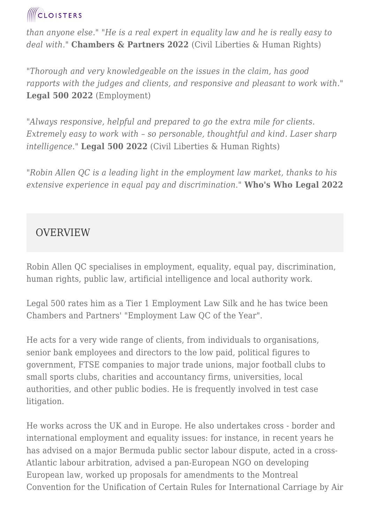*than anyone else." "He is a real expert in equality law and he is really easy to deal with."* **Chambers & Partners 2022** (Civil Liberties & Human Rights)

*"Thorough and very knowledgeable on the issues in the claim, has good rapports with the judges and clients, and responsive and pleasant to work with."* **Legal 500 2022** (Employment)

*"Always responsive, helpful and prepared to go the extra mile for clients. Extremely easy to work with – so personable, thoughtful and kind. Laser sharp intelligence."* **Legal 500 2022** (Civil Liberties & Human Rights)

*"Robin Allen QC is a leading light in the employment law market, thanks to his extensive experience in equal pay and discrimination."* **Who's Who Legal 2022**

# **OVERVIEW**

Robin Allen QC specialises in employment, equality, equal pay, discrimination, human rights, public law, artificial intelligence and local authority work.

Legal 500 rates him as a Tier 1 Employment Law Silk and he has twice been Chambers and Partners' "Employment Law QC of the Year".

He acts for a very wide range of clients, from individuals to organisations, senior bank employees and directors to the low paid, political figures to government, FTSE companies to major trade unions, major football clubs to small sports clubs, charities and accountancy firms, universities, local authorities, and other public bodies. He is frequently involved in test case litigation.

He works across the UK and in Europe. He also undertakes cross - border and international employment and equality issues: for instance, in recent years he has advised on a major Bermuda public sector labour dispute, acted in a cross-Atlantic labour arbitration, advised a pan-European NGO on developing European law, worked up proposals for amendments to the Montreal Convention for the Unification of Certain Rules for International Carriage by Air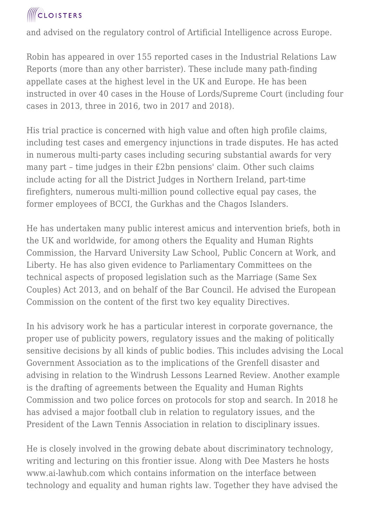and advised on the regulatory control of Artificial Intelligence across Europe.

Robin has appeared in over 155 reported cases in the Industrial Relations Law Reports (more than any other barrister). These include many path-finding appellate cases at the highest level in the UK and Europe. He has been instructed in over 40 cases in the House of Lords/Supreme Court (including four cases in 2013, three in 2016, two in 2017 and 2018).

His trial practice is concerned with high value and often high profile claims, including test cases and emergency injunctions in trade disputes. He has acted in numerous multi-party cases including securing substantial awards for very many part – time judges in their £2bn pensions' claim. Other such claims include acting for all the District Judges in Northern Ireland, part-time firefighters, numerous multi-million pound collective equal pay cases, the former employees of BCCI, the Gurkhas and the Chagos Islanders.

He has undertaken many public interest amicus and intervention briefs, both in the UK and worldwide, for among others the Equality and Human Rights Commission, the Harvard University Law School, Public Concern at Work, and Liberty. He has also given evidence to Parliamentary Committees on the technical aspects of proposed legislation such as the Marriage (Same Sex Couples) Act 2013, and on behalf of the Bar Council. He advised the European Commission on the content of the first two key equality Directives.

In his advisory work he has a particular interest in corporate governance, the proper use of publicity powers, regulatory issues and the making of politically sensitive decisions by all kinds of public bodies. This includes advising the Local Government Association as to the implications of the Grenfell disaster and advising in relation to the Windrush Lessons Learned Review. Another example is the drafting of agreements between the Equality and Human Rights Commission and two police forces on protocols for stop and search. In 2018 he has advised a major football club in relation to regulatory issues, and the President of the Lawn Tennis Association in relation to disciplinary issues.

He is closely involved in the growing debate about discriminatory technology, writing and lecturing on this frontier issue. Along with Dee Masters he hosts www.ai-lawhub.com which contains information on the interface between technology and equality and human rights law. Together they have advised the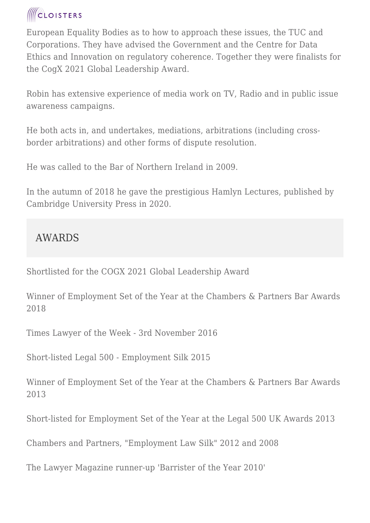European Equality Bodies as to how to approach these issues, the TUC and Corporations. They have advised the Government and the Centre for Data Ethics and Innovation on regulatory coherence. Together they were finalists for the CogX 2021 Global Leadership Award.

Robin has extensive experience of media work on TV, Radio and in public issue awareness campaigns.

He both acts in, and undertakes, mediations, arbitrations (including crossborder arbitrations) and other forms of dispute resolution.

He was called to the Bar of Northern Ireland in 2009.

In the autumn of 2018 he gave the prestigious Hamlyn Lectures, published by Cambridge University Press in 2020.

# AWARDS

Shortlisted for the COGX 2021 Global Leadership Award

Winner of Employment Set of the Year at the Chambers & Partners Bar Awards 2018

Times Lawyer of the Week - 3rd November 2016

Short-listed Legal 500 - Employment Silk 2015

Winner of Employment Set of the Year at the Chambers & Partners Bar Awards 2013

Short-listed for Employment Set of the Year at the Legal 500 UK Awards 2013

Chambers and Partners, "Employment Law Silk" 2012 and 2008

The Lawyer Magazine runner-up 'Barrister of the Year 2010'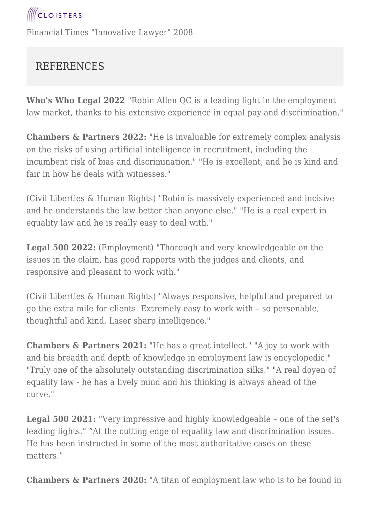# REFERENCES

**Who's Who Legal 2022** "Robin Allen QC is a leading light in the employment law market, thanks to his extensive experience in equal pay and discrimination."

**Chambers & Partners 2022:** "He is invaluable for extremely complex analysis on the risks of using artificial intelligence in recruitment, including the incumbent risk of bias and discrimination." "He is excellent, and he is kind and fair in how he deals with witnesses."

(Civil Liberties & Human Rights) "Robin is massively experienced and incisive and he understands the law better than anyone else." "He is a real expert in equality law and he is really easy to deal with."

**Legal 500 2022:** (Employment) "Thorough and very knowledgeable on the issues in the claim, has good rapports with the judges and clients, and responsive and pleasant to work with."

(Civil Liberties & Human Rights) "Always responsive, helpful and prepared to go the extra mile for clients. Extremely easy to work with – so personable, thoughtful and kind. Laser sharp intelligence."

**Chambers & Partners 2021:** "He has a great intellect." "A joy to work with and his breadth and depth of knowledge in employment law is encyclopedic." "Truly one of the absolutely outstanding discrimination silks." "A real doyen of equality law - he has a lively mind and his thinking is always ahead of the curve."

**Legal 500 2021:** "Very impressive and highly knowledgeable – one of the set's leading lights." "At the cutting edge of equality law and discrimination issues. He has been instructed in some of the most authoritative cases on these matters."

**Chambers & Partners 2020:** "A titan of employment law who is to be found in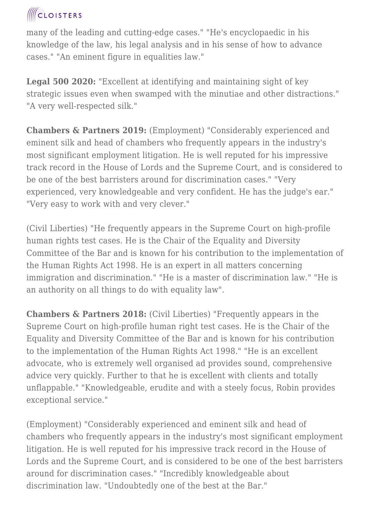many of the leading and cutting-edge cases." "He's encyclopaedic in his knowledge of the law, his legal analysis and in his sense of how to advance cases." "An eminent figure in equalities law."

**Legal 500 2020:** "Excellent at identifying and maintaining sight of key strategic issues even when swamped with the minutiae and other distractions." "A very well-respected silk."

**Chambers & Partners 2019:** (Employment) "Considerably experienced and eminent silk and head of chambers who frequently appears in the industry's most significant employment litigation. He is well reputed for his impressive track record in the House of Lords and the Supreme Court, and is considered to be one of the best barristers around for discrimination cases." "Very experienced, very knowledgeable and very confident. He has the judge's ear." "Very easy to work with and very clever."

(Civil Liberties) "He frequently appears in the Supreme Court on high-profile human rights test cases. He is the Chair of the Equality and Diversity Committee of the Bar and is known for his contribution to the implementation of the Human Rights Act 1998. He is an expert in all matters concerning immigration and discrimination." "He is a master of discrimination law." "He is an authority on all things to do with equality law".

**Chambers & Partners 2018:** (Civil Liberties) "Frequently appears in the Supreme Court on high-profile human right test cases. He is the Chair of the Equality and Diversity Committee of the Bar and is known for his contribution to the implementation of the Human Rights Act 1998." "He is an excellent advocate, who is extremely well organised ad provides sound, comprehensive advice very quickly. Further to that he is excellent with clients and totally unflappable." "Knowledgeable, erudite and with a steely focus, Robin provides exceptional service."

(Employment) "Considerably experienced and eminent silk and head of chambers who frequently appears in the industry's most significant employment litigation. He is well reputed for his impressive track record in the House of Lords and the Supreme Court, and is considered to be one of the best barristers around for discrimination cases." "Incredibly knowledgeable about discrimination law. "Undoubtedly one of the best at the Bar."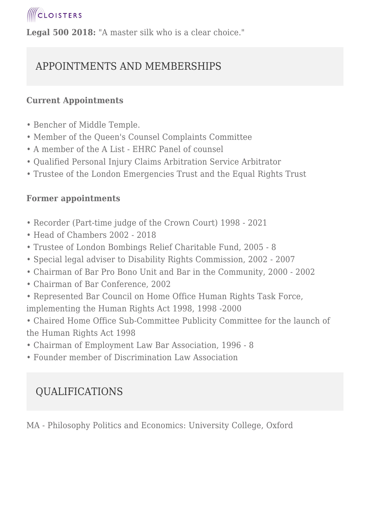**Legal 500 2018:** "A master silk who is a clear choice."

# APPOINTMENTS AND MEMBERSHIPS

### **Current Appointments**

- Bencher of Middle Temple.
- Member of the Queen's Counsel Complaints Committee
- A member of the A List EHRC Panel of counsel
- Qualified Personal Injury Claims Arbitration Service Arbitrator
- Trustee of the London Emergencies Trust and the Equal Rights Trust

## **Former appointments**

- Recorder (Part-time judge of the Crown Court) 1998 2021
- Head of Chambers 2002 2018
- Trustee of London Bombings Relief Charitable Fund, 2005 8
- Special legal adviser to Disability Rights Commission, 2002 2007
- Chairman of Bar Pro Bono Unit and Bar in the Community, 2000 2002
- Chairman of Bar Conference, 2002
- Represented Bar Council on Home Office Human Rights Task Force, implementing the Human Rights Act 1998, 1998 -2000
- Chaired Home Office Sub-Committee Publicity Committee for the launch of the Human Rights Act 1998
- Chairman of Employment Law Bar Association, 1996 8
- Founder member of Discrimination Law Association

# QUALIFICATIONS

MA - Philosophy Politics and Economics: University College, Oxford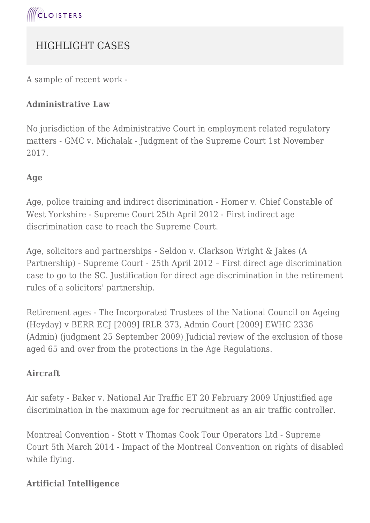# HIGHLIGHT CASES

A sample of recent work -

### **Administrative Law**

No jurisdiction of the Administrative Court in employment related regulatory matters - GMC v. Michalak - Judgment of the Supreme Court 1st November 2017.

#### **Age**

Age, police training and indirect discrimination - Homer v. Chief Constable of West Yorkshire - Supreme Court 25th April 2012 - First indirect age discrimination case to reach the Supreme Court.

Age, solicitors and partnerships - Seldon v. Clarkson Wright & Jakes (A Partnership) - Supreme Court - 25th April 2012 – First direct age discrimination case to go to the SC. Justification for direct age discrimination in the retirement rules of a solicitors' partnership.

Retirement ages - The Incorporated Trustees of the National Council on Ageing (Heyday) v BERR ECJ [2009] IRLR 373, Admin Court [2009] EWHC 2336 (Admin) (judgment 25 September 2009) Judicial review of the exclusion of those aged 65 and over from the protections in the Age Regulations.

### **Aircraft**

Air safety - Baker v. National Air Traffic ET 20 February 2009 Unjustified age discrimination in the maximum age for recruitment as an air traffic controller.

Montreal Convention - Stott v Thomas Cook Tour Operators Ltd - Supreme Court 5th March 2014 - Impact of the Montreal Convention on rights of disabled while flying.

### **Artificial Intelligence**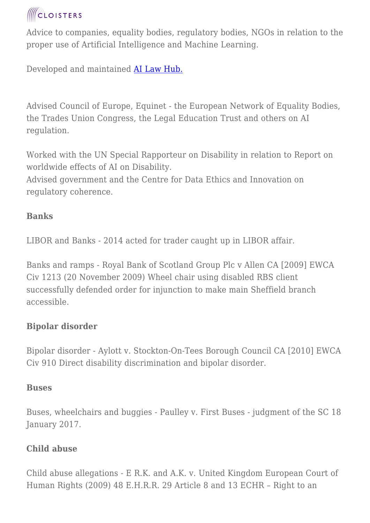Advice to companies, equality bodies, regulatory bodies, NGOs in relation to the proper use of Artificial Intelligence and Machine Learning.

Developed and maintained **AI Law Hub.** 

Advised Council of Europe, Equinet - the European Network of Equality Bodies, the Trades Union Congress, the Legal Education Trust and others on AI regulation.

Worked with the UN Special Rapporteur on Disability in relation to Report on worldwide effects of AI on Disability.

Advised government and the Centre for Data Ethics and Innovation on regulatory coherence.

## **Banks**

LIBOR and Banks - 2014 acted for trader caught up in LIBOR affair.

Banks and ramps - Royal Bank of Scotland Group Plc v Allen CA [2009] EWCA Civ 1213 (20 November 2009) Wheel chair using disabled RBS client successfully defended order for injunction to make main Sheffield branch accessible.

# **Bipolar disorder**

Bipolar disorder - Aylott v. Stockton-On-Tees Borough Council CA [2010] EWCA Civ 910 Direct disability discrimination and bipolar disorder.

## **Buses**

Buses, wheelchairs and buggies - Paulley v. First Buses - judgment of the SC 18 January 2017.

## **Child abuse**

Child abuse allegations - E R.K. and A.K. v. United Kingdom European Court of Human Rights (2009) 48 E.H.R.R. 29 Article 8 and 13 ECHR – Right to an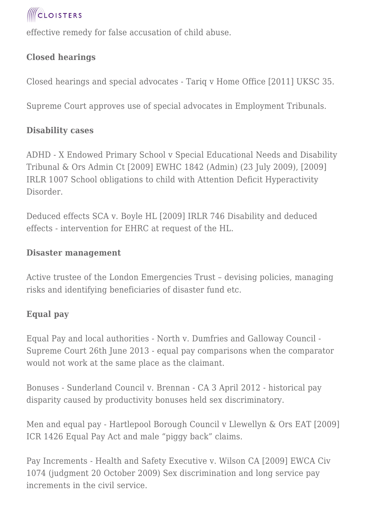

effective remedy for false accusation of child abuse.

## **Closed hearings**

Closed hearings and special advocates - Tariq v Home Office [2011] UKSC 35.

Supreme Court approves use of special advocates in Employment Tribunals.

### **Disability cases**

ADHD - X Endowed Primary School v Special Educational Needs and Disability Tribunal & Ors Admin Ct [2009] EWHC 1842 (Admin) (23 July 2009), [2009] IRLR 1007 School obligations to child with Attention Deficit Hyperactivity Disorder.

Deduced effects SCA v. Boyle HL [2009] IRLR 746 Disability and deduced effects - intervention for EHRC at request of the HL.

#### **Disaster management**

Active trustee of the London Emergencies Trust – devising policies, managing risks and identifying beneficiaries of disaster fund etc.

## **Equal pay**

Equal Pay and local authorities - North v. Dumfries and Galloway Council - Supreme Court 26th June 2013 - equal pay comparisons when the comparator would not work at the same place as the claimant.

Bonuses - Sunderland Council v. Brennan - CA 3 April 2012 - historical pay disparity caused by productivity bonuses held sex discriminatory.

Men and equal pay - Hartlepool Borough Council v Llewellyn & Ors EAT [2009] ICR 1426 Equal Pay Act and male "piggy back" claims.

Pay Increments - Health and Safety Executive v. Wilson CA [2009] EWCA Civ 1074 (judgment 20 October 2009) Sex discrimination and long service pay increments in the civil service.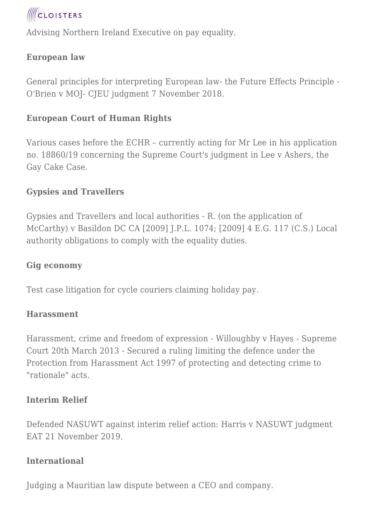

Advising Northern Ireland Executive on pay equality.

### **European law**

General principles for interpreting European law- the Future Effects Principle - O'Brien v MOJ- CJEU judgment 7 November 2018.

#### **European Court of Human Rights**

Various cases before the ECHR – currently acting for Mr Lee in his application no. 18860/19 concerning the Supreme Court's judgment in Lee v Ashers, the Gay Cake Case.

#### **Gypsies and Travellers**

Gypsies and Travellers and local authorities - R. (on the application of McCarthy) v Basildon DC CA [2009] J.P.L. 1074; [2009] 4 E.G. 117 (C.S.) Local authority obligations to comply with the equality duties.

#### **Gig economy**

Test case litigation for cycle couriers claiming holiday pay.

#### **Harassment**

Harassment, crime and freedom of expression - Willoughby v Hayes - Supreme Court 20th March 2013 - Secured a ruling limiting the defence under the Protection from Harassment Act 1997 of protecting and detecting crime to "rationale" acts.

#### **Interim Relief**

Defended NASUWT against interim relief action: Harris v NASUWT judgment EAT 21 November 2019.

#### **International**

Judging a Mauritian law dispute between a CEO and company.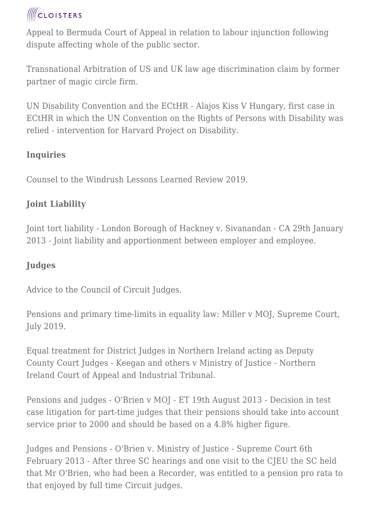Appeal to Bermuda Court of Appeal in relation to labour injunction following dispute affecting whole of the public sector.

Transnational Arbitration of US and UK law age discrimination claim by former partner of magic circle firm.

UN Disability Convention and the ECtHR - Alajos Kiss V Hungary, first case in ECtHR in which the UN Convention on the Rights of Persons with Disability was relied - intervention for Harvard Project on Disability.

## **Inquiries**

Counsel to the Windrush Lessons Learned Review 2019.

# **Joint Liability**

Joint tort liability - London Borough of Hackney v. Sivanandan - CA 29th January 2013 - Joint liability and apportionment between employer and employee.

## **Judges**

Advice to the Council of Circuit Judges.

Pensions and primary time-limits in equality law: Miller v MOJ, Supreme Court, July 2019.

Equal treatment for District Judges in Northern Ireland acting as Deputy County Court Judges - Keegan and others v Ministry of Justice - Northern Ireland Court of Appeal and Industrial Tribunal.

Pensions and judges - O'Brien v MOJ - ET 19th August 2013 - Decision in test case litigation for part-time judges that their pensions should take into account service prior to 2000 and should be based on a 4.8% higher figure.

Judges and Pensions - O'Brien v. Ministry of Justice - Supreme Court 6th February 2013 - After three SC hearings and one visit to the CJEU the SC held that Mr O'Brien, who had been a Recorder, was entitled to a pension pro rata to that enjoyed by full time Circuit judges.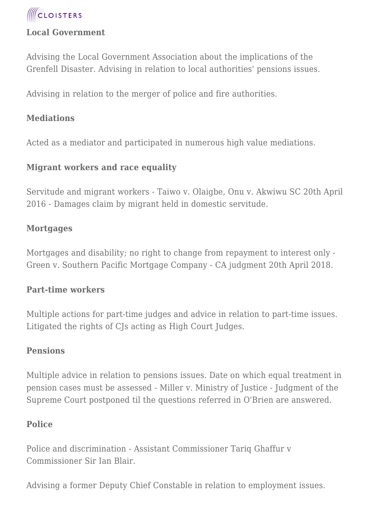

#### **Local Government**

Advising the Local Government Association about the implications of the Grenfell Disaster. Advising in relation to local authorities' pensions issues.

Advising in relation to the merger of police and fire authorities.

#### **Mediations**

Acted as a mediator and participated in numerous high value mediations.

#### **Migrant workers and race equality**

Servitude and migrant workers - Taiwo v. Olaigbe, Onu v. Akwiwu SC 20th April 2016 - Damages claim by migrant held in domestic servitude.

#### **Mortgages**

Mortgages and disability; no right to change from repayment to interest only - Green v. Southern Pacific Mortgage Company - CA judgment 20th April 2018.

#### **Part-time workers**

Multiple actions for part-time judges and advice in relation to part-time issues. Litigated the rights of CJs acting as High Court Judges.

#### **Pensions**

Multiple advice in relation to pensions issues. Date on which equal treatment in pension cases must be assessed - Miller v. Ministry of Justice - Judgment of the Supreme Court postponed til the questions referred in O'Brien are answered.

#### **Police**

Police and discrimination - Assistant Commissioner Tariq Ghaffur v Commissioner Sir Ian Blair.

Advising a former Deputy Chief Constable in relation to employment issues.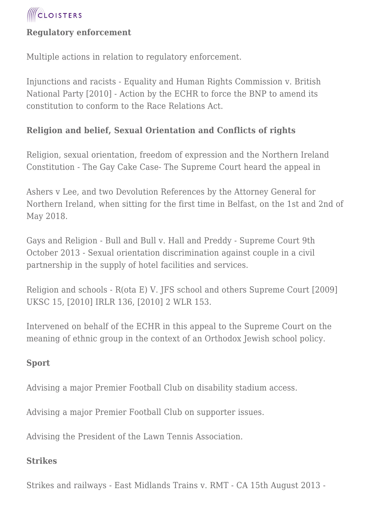

#### **Regulatory enforcement**

Multiple actions in relation to regulatory enforcement.

Injunctions and racists - Equality and Human Rights Commission v. British National Party [2010] - Action by the ECHR to force the BNP to amend its constitution to conform to the Race Relations Act.

#### **Religion and belief, Sexual Orientation and Conflicts of rights**

Religion, sexual orientation, freedom of expression and the Northern Ireland Constitution - The Gay Cake Case- The Supreme Court heard the appeal in

Ashers v Lee, and two Devolution References by the Attorney General for Northern Ireland, when sitting for the first time in Belfast, on the 1st and 2nd of May 2018.

Gays and Religion - Bull and Bull v. Hall and Preddy - Supreme Court 9th October 2013 - Sexual orientation discrimination against couple in a civil partnership in the supply of hotel facilities and services.

Religion and schools - R(ota E) V. JFS school and others Supreme Court [2009] UKSC 15, [2010] IRLR 136, [2010] 2 WLR 153.

Intervened on behalf of the ECHR in this appeal to the Supreme Court on the meaning of ethnic group in the context of an Orthodox Jewish school policy.

#### **Sport**

Advising a major Premier Football Club on disability stadium access.

Advising a major Premier Football Club on supporter issues.

Advising the President of the Lawn Tennis Association.

#### **Strikes**

Strikes and railways - East Midlands Trains v. RMT - CA 15th August 2013 -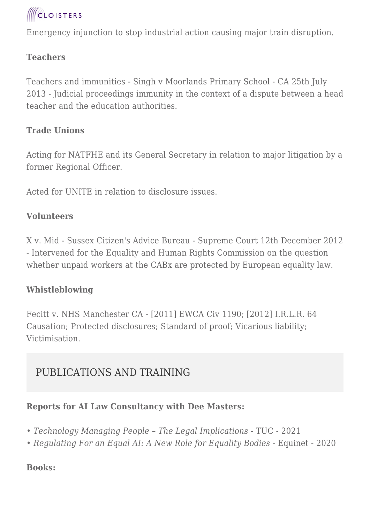

Emergency injunction to stop industrial action causing major train disruption.

### **Teachers**

Teachers and immunities - Singh v Moorlands Primary School - CA 25th July 2013 - Judicial proceedings immunity in the context of a dispute between a head teacher and the education authorities.

#### **Trade Unions**

Acting for NATFHE and its General Secretary in relation to major litigation by a former Regional Officer.

Acted for UNITE in relation to disclosure issues.

### **Volunteers**

X v. Mid - Sussex Citizen's Advice Bureau - Supreme Court 12th December 2012 - Intervened for the Equality and Human Rights Commission on the question whether unpaid workers at the CABx are protected by European equality law.

### **Whistleblowing**

Fecitt v. NHS Manchester CA - [2011] EWCA Civ 1190; [2012] I.R.L.R. 64 Causation; Protected disclosures; Standard of proof; Vicarious liability; Victimisation.

# PUBLICATIONS AND TRAINING

#### **Reports for AI Law Consultancy with Dee Masters:**

- *Technology Managing People The Legal Implications* TUC 2021
- *Regulating For an Equal AI: A New Role for Equality Bodies* Equinet 2020

#### **Books:**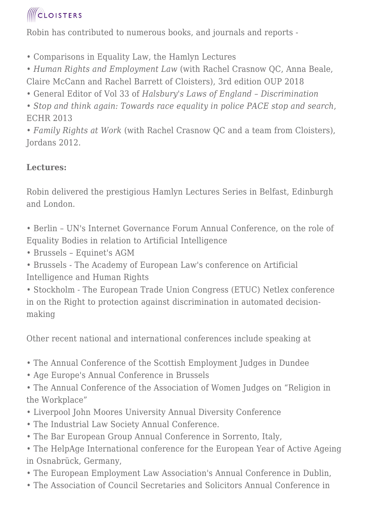Robin has contributed to numerous books, and journals and reports -

• Comparisons in Equality Law, the Hamlyn Lectures

• *Human Rights and Employment Law* (with Rachel Crasnow QC, Anna Beale, Claire McCann and Rachel Barrett of Cloisters), 3rd edition OUP 2018

• General Editor of Vol 33 of *Halsbury's Laws of England – Discrimination*

• *Stop and think again: Towards race equality in police PACE stop and search*, ECHR 2013

• *Family Rights at Work* (with Rachel Crasnow QC and a team from Cloisters), Jordans 2012.

# **Lectures:**

Robin delivered the prestigious Hamlyn Lectures Series in Belfast, Edinburgh and London.

• Berlin – UN's Internet Governance Forum Annual Conference, on the role of Equality Bodies in relation to Artificial Intelligence

• Brussels – Equinet's AGM

• Brussels - The Academy of European Law's conference on Artificial Intelligence and Human Rights

• Stockholm - The European Trade Union Congress (ETUC) Netlex conference in on the Right to protection against discrimination in automated decisionmaking

Other recent national and international conferences include speaking at

- The Annual Conference of the Scottish Employment Judges in Dundee
- Age Europe's Annual Conference in Brussels

• The Annual Conference of the Association of Women Judges on "Religion in the Workplace"

- Liverpool John Moores University Annual Diversity Conference
- The Industrial Law Society Annual Conference.
- The Bar European Group Annual Conference in Sorrento, Italy,

• The HelpAge International conference for the European Year of Active Ageing in Osnabrück, Germany,

- The European Employment Law Association's Annual Conference in Dublin,
- The Association of Council Secretaries and Solicitors Annual Conference in